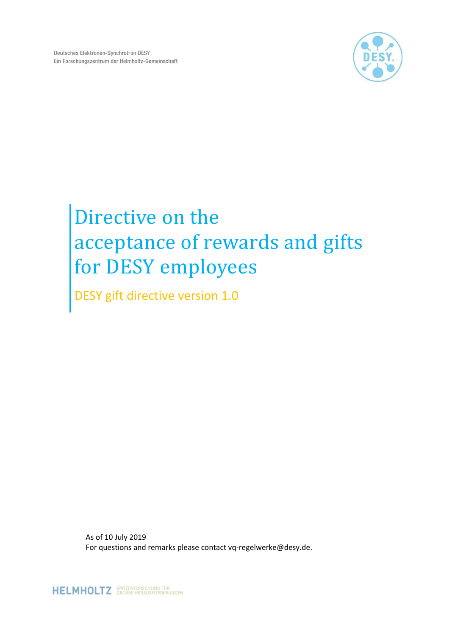

# Directive on the acceptance of rewards and gifts for DESY employees

DESY gift directive version 1.0

As of 10 July 2019 For questions and remarks please contact vq-regelwerke@desy.de.

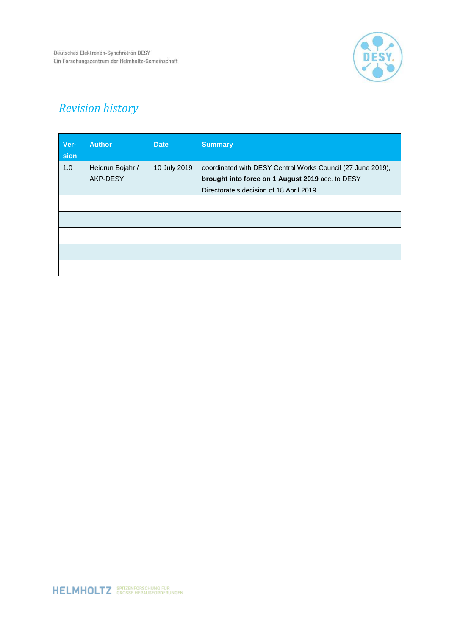

# *Revision history*

| Ver-<br>sion | <b>Author</b>    | <b>Date</b>  | <b>Summary</b>                                              |
|--------------|------------------|--------------|-------------------------------------------------------------|
| 1.0          | Heidrun Bojahr / | 10 July 2019 | coordinated with DESY Central Works Council (27 June 2019), |
|              | AKP-DESY         |              | brought into force on 1 August 2019 acc. to DESY            |
|              |                  |              | Directorate's decision of 18 April 2019                     |
|              |                  |              |                                                             |
|              |                  |              |                                                             |
|              |                  |              |                                                             |
|              |                  |              |                                                             |
|              |                  |              |                                                             |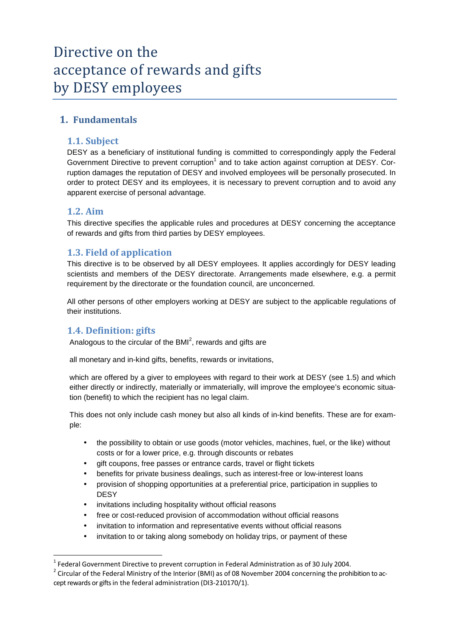# Directive on the acceptance of rewards and gifts by DESY employees

# **1. Fundamentals**

#### **1.1. Subject**

DESY as a beneficiary of institutional funding is committed to correspondingly apply the Federal Government Directive to prevent corruption<sup>1</sup> and to take action against corruption at DESY. Corruption damages the reputation of DESY and involved employees will be personally prosecuted. In order to protect DESY and its employees, it is necessary to prevent corruption and to avoid any apparent exercise of personal advantage.

#### **1.2. Aim**

 $\overline{a}$ 

This directive specifies the applicable rules and procedures at DESY concerning the acceptance of rewards and gifts from third parties by DESY employees.

#### **1.3. Field of application**

This directive is to be observed by all DESY employees. It applies accordingly for DESY leading scientists and members of the DESY directorate. Arrangements made elsewhere, e.g. a permit requirement by the directorate or the foundation council, are unconcerned.

All other persons of other employers working at DESY are subject to the applicable regulations of their institutions.

#### **1.4. Definition: gifts**

Analogous to the circular of the BMI $^2$ , rewards and gifts are

all monetary and in-kind gifts, benefits, rewards or invitations,

which are offered by a giver to employees with regard to their work at DESY (see 1.5) and which either directly or indirectly, materially or immaterially, will improve the employee's economic situation (benefit) to which the recipient has no legal claim.

This does not only include cash money but also all kinds of in-kind benefits. These are for example:

- the possibility to obtain or use goods (motor vehicles, machines, fuel, or the like) without costs or for a lower price, e.g. through discounts or rebates
- gift coupons, free passes or entrance cards, travel or flight tickets
- benefits for private business dealings, such as interest-free or low-interest loans
- provision of shopping opportunities at a preferential price, participation in supplies to **DESY**
- invitations including hospitality without official reasons
- free or cost-reduced provision of accommodation without official reasons
- invitation to information and representative events without official reasons
- invitation to or taking along somebody on holiday trips, or payment of these

 $^1$  Federal Government Directive to prevent corruption in Federal Administration as of 30 July 2004.

 $^2$  Circular of the Federal Ministry of the Interior (BMI) as of 08 November 2004 concerning the prohibition to accept rewards or gifts in the federal administration (DI3-210170/1).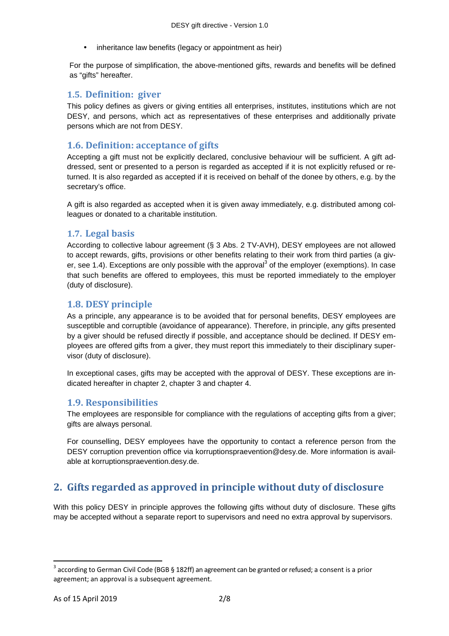inheritance law benefits (legacy or appointment as heir)

For the purpose of simplification, the above-mentioned gifts, rewards and benefits will be defined as "gifts" hereafter.

#### **1.5. Definition: giver**

This policy defines as givers or giving entities all enterprises, institutes, institutions which are not DESY, and persons, which act as representatives of these enterprises and additionally private persons which are not from DESY.

#### **1.6. Definition: acceptance of gifts**

Accepting a gift must not be explicitly declared, conclusive behaviour will be sufficient. A gift addressed, sent or presented to a person is regarded as accepted if it is not explicitly refused or returned. It is also regarded as accepted if it is received on behalf of the donee by others, e.g. by the secretary's office.

A gift is also regarded as accepted when it is given away immediately, e.g. distributed among colleagues or donated to a charitable institution.

#### **1.7. Legal basis**

According to collective labour agreement (§ 3 Abs. 2 TV-AVH), DESY employees are not allowed to accept rewards, gifts, provisions or other benefits relating to their work from third parties (a giver, see 1.4). Exceptions are only possible with the approval<sup>3</sup> of the employer (exemptions). In case that such benefits are offered to employees, this must be reported immediately to the employer (duty of disclosure).

#### **1.8. DESY principle**

As a principle, any appearance is to be avoided that for personal benefits, DESY employees are susceptible and corruptible (avoidance of appearance). Therefore, in principle, any gifts presented by a giver should be refused directly if possible, and acceptance should be declined. If DESY employees are offered gifts from a giver, they must report this immediately to their disciplinary supervisor (duty of disclosure).

In exceptional cases, gifts may be accepted with the approval of DESY. These exceptions are indicated hereafter in chapter 2, chapter 3 and chapter 4.

#### **1.9. Responsibilities**

The employees are responsible for compliance with the regulations of accepting gifts from a giver; gifts are always personal.

For counselling, DESY employees have the opportunity to contact a reference person from the DESY corruption prevention office via korruptionspraevention@desy.de. More information is available at korruptionspraevention.desy.de.

# **2. Gifts regarded as approved in principle without duty of disclosure**

With this policy DESY in principle approves the following gifts without duty of disclosure. These gifts may be accepted without a separate report to supervisors and need no extra approval by supervisors.

l

 $^3$  according to German Civil Code (BGB § 182ff) an agreement can be granted or refused; a consent is a prior agreement; an approval is a subsequent agreement.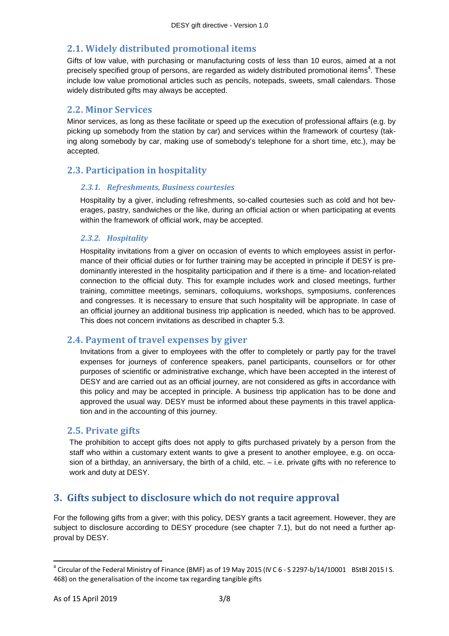# **2.1. Widely distributed promotional items**

Gifts of low value, with purchasing or manufacturing costs of less than 10 euros, aimed at a not precisely specified group of persons, are regarded as widely distributed promotional items<sup>4</sup>. These include low value promotional articles such as pencils, notepads, sweets, small calendars. Those widely distributed gifts may always be accepted.

#### **2.2. Minor Services**

Minor services, as long as these facilitate or speed up the execution of professional affairs (e.g. by picking up somebody from the station by car) and services within the framework of courtesy (taking along somebody by car, making use of somebody's telephone for a short time, etc.), may be accepted.

# **2.3. Participation in hospitality**

#### *2.3.1. Refreshments, Business courtesies*

Hospitality by a giver, including refreshments, so-called courtesies such as cold and hot beverages, pastry, sandwiches or the like, during an official action or when participating at events within the framework of official work, may be accepted.

#### *2.3.2. Hospitality*

Hospitality invitations from a giver on occasion of events to which employees assist in performance of their official duties or for further training may be accepted in principle if DESY is predominantly interested in the hospitality participation and if there is a time- and location-related connection to the official duty. This for example includes work and closed meetings, further training, committee meetings, seminars, colloquiums, workshops, symposiums, conferences and congresses. It is necessary to ensure that such hospitality will be appropriate. In case of an official journey an additional business trip application is needed, which has to be approved. This does not concern invitations as described in chapter 5.3.

#### **2.4. Payment of travel expenses by giver**

Invitations from a giver to employees with the offer to completely or partly pay for the travel expenses for journeys of conference speakers, panel participants, counsellors or for other purposes of scientific or administrative exchange, which have been accepted in the interest of DESY and are carried out as an official journey, are not considered as gifts in accordance with this policy and may be accepted in principle. A business trip application has to be done and approved the usual way. DESY must be informed about these payments in this travel application and in the accounting of this journey.

#### **2.5. Private gifts**

The prohibition to accept gifts does not apply to gifts purchased privately by a person from the staff who within a customary extent wants to give a present to another employee, e.g. on occasion of a birthday, an anniversary, the birth of a child, etc. – i.e. private gifts with no reference to work and duty at DESY.

# **3. Gifts subject to disclosure which do not require approval**

For the following gifts from a giver; with this policy, DESY grants a tacit agreement. However, they are subject to disclosure according to DESY procedure (see chapter 7.1), but do not need a further approval by DESY.

l

 $^4$  Circular of the Federal Ministry of Finance (BMF) as of 19 May 2015 (IV C 6 - S 2297-b/14/10001 BStBl 2015 I S. 468) on the generalisation of the income tax regarding tangible gifts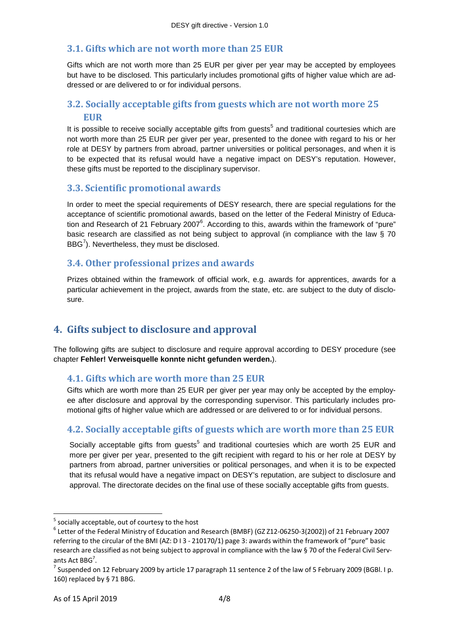#### **3.1. Gifts which are not worth more than 25 EUR**

Gifts which are not worth more than 25 EUR per giver per year may be accepted by employees but have to be disclosed. This particularly includes promotional gifts of higher value which are addressed or are delivered to or for individual persons.

# **3.2. Socially acceptable gifts from guests which are not worth more 25 EUR**

It is possible to receive socially acceptable gifts from guests<sup>5</sup> and traditional courtesies which are not worth more than 25 EUR per giver per year, presented to the donee with regard to his or her role at DESY by partners from abroad, partner universities or political personages, and when it is to be expected that its refusal would have a negative impact on DESY's reputation. However, these gifts must be reported to the disciplinary supervisor.

#### **3.3. Scientific promotional awards**

In order to meet the special requirements of DESY research, there are special regulations for the acceptance of scientific promotional awards, based on the letter of the Federal Ministry of Education and Research of 21 February 2007<sup>6</sup>. According to this, awards within the framework of "pure" basic research are classified as not being subject to approval (in compliance with the law § 70 BBG $^7$ ). Nevertheless, they must be disclosed.

#### **3.4. Other professional prizes and awards**

Prizes obtained within the framework of official work, e.g. awards for apprentices, awards for a particular achievement in the project, awards from the state, etc. are subject to the duty of disclosure.

# **4. Gifts subject to disclosure and approval**

The following gifts are subject to disclosure and require approval according to DESY procedure (see chapter **Fehler! Verweisquelle konnte nicht gefunden werden.**).

#### **4.1. Gifts which are worth more than 25 EUR**

Gifts which are worth more than 25 EUR per giver per year may only be accepted by the employee after disclosure and approval by the corresponding supervisor. This particularly includes promotional gifts of higher value which are addressed or are delivered to or for individual persons.

# **4.2. Socially acceptable gifts of guests which are worth more than 25 EUR**

Socially acceptable gifts from guests<sup>5</sup> and traditional courtesies which are worth 25 EUR and more per giver per year, presented to the gift recipient with regard to his or her role at DESY by partners from abroad, partner universities or political personages, and when it is to be expected that its refusal would have a negative impact on DESY's reputation, are subject to disclosure and approval. The directorate decides on the final use of these socially acceptable gifts from guests.

 $\overline{\phantom{0}}$ 

 $<sup>5</sup>$  socially acceptable, out of courtesy to the host</sup>

<sup>6</sup> Letter of the Federal Ministry of Education and Research (BMBF) (GZ Z12-06250-3(2002)) of 21 February 2007 referring to the circular of the BMI (AZ: D I 3 - 210170/1) page 3: awards within the framework of "pure" basic research are classified as not being subject to approval in compliance with the law § 70 of the Federal Civil Servants Act BBG<sup>7</sup>.

<sup>&</sup>lt;sup>7</sup> Suspended on 12 February 2009 by article 17 paragraph 11 sentence 2 of the law of 5 February 2009 (BGBI. I p. 160) replaced by § 71 BBG.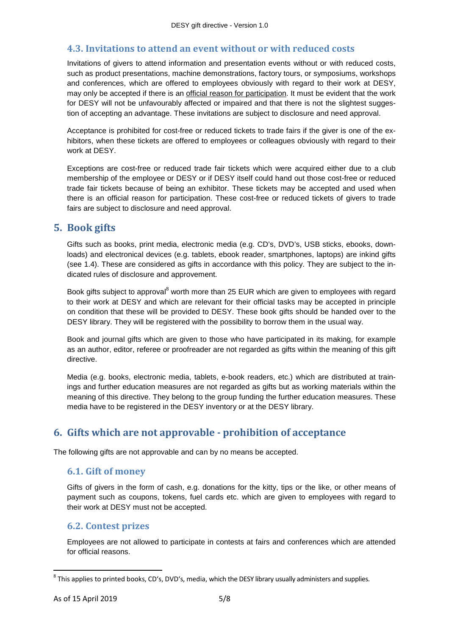#### **4.3. Invitations to attend an event without or with reduced costs**

Invitations of givers to attend information and presentation events without or with reduced costs, such as product presentations, machine demonstrations, factory tours, or symposiums, workshops and conferences, which are offered to employees obviously with regard to their work at DESY, may only be accepted if there is an official reason for participation. It must be evident that the work for DESY will not be unfavourably affected or impaired and that there is not the slightest suggestion of accepting an advantage. These invitations are subject to disclosure and need approval.

Acceptance is prohibited for cost-free or reduced tickets to trade fairs if the giver is one of the exhibitors, when these tickets are offered to employees or colleagues obviously with regard to their work at DESY.

Exceptions are cost-free or reduced trade fair tickets which were acquired either due to a club membership of the employee or DESY or if DESY itself could hand out those cost-free or reduced trade fair tickets because of being an exhibitor. These tickets may be accepted and used when there is an official reason for participation. These cost-free or reduced tickets of givers to trade fairs are subject to disclosure and need approval.

# **5. Book gifts**

Gifts such as books, print media, electronic media (e.g. CD's, DVD's, USB sticks, ebooks, downloads) and electronical devices (e.g. tablets, ebook reader, smartphones, laptops) are inkind gifts (see 1.4). These are considered as gifts in accordance with this policy. They are subject to the indicated rules of disclosure and approvement.

Book gifts subject to approval<sup>8</sup> worth more than 25 EUR which are given to employees with regard to their work at DESY and which are relevant for their official tasks may be accepted in principle on condition that these will be provided to DESY. These book gifts should be handed over to the DESY library. They will be registered with the possibility to borrow them in the usual way.

Book and journal gifts which are given to those who have participated in its making, for example as an author, editor, referee or proofreader are not regarded as gifts within the meaning of this gift directive.

Media (e.g. books, electronic media, tablets, e-book readers, etc.) which are distributed at trainings and further education measures are not regarded as gifts but as working materials within the meaning of this directive. They belong to the group funding the further education measures. These media have to be registered in the DESY inventory or at the DESY library.

# **6. Gifts which are not approvable - prohibition of acceptance**

The following gifts are not approvable and can by no means be accepted.

#### **6.1. Gift of money**

Gifts of givers in the form of cash, e.g. donations for the kitty, tips or the like, or other means of payment such as coupons, tokens, fuel cards etc. which are given to employees with regard to their work at DESY must not be accepted.

#### **6.2. Contest prizes**

Employees are not allowed to participate in contests at fairs and conferences which are attended for official reasons.

 $\overline{\phantom{0}}$ 

 $^8$  This applies to printed books, CD's, DVD's, media, which the DESY library usually administers and supplies.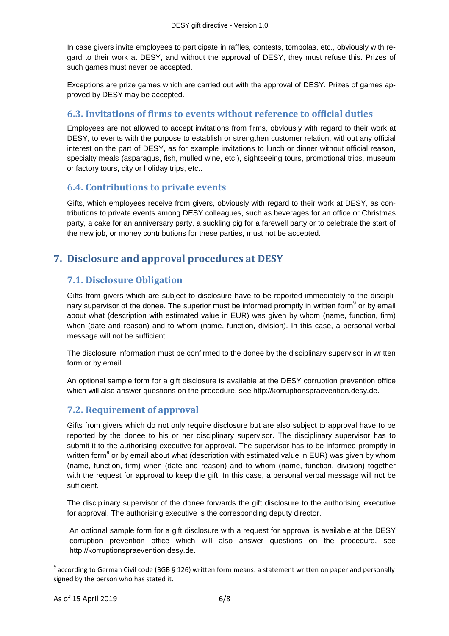In case givers invite employees to participate in raffles, contests, tombolas, etc., obviously with regard to their work at DESY, and without the approval of DESY, they must refuse this. Prizes of such games must never be accepted.

Exceptions are prize games which are carried out with the approval of DESY. Prizes of games approved by DESY may be accepted.

### **6.3. Invitations of firms to events without reference to official duties**

Employees are not allowed to accept invitations from firms, obviously with regard to their work at DESY, to events with the purpose to establish or strengthen customer relation, without any official interest on the part of DESY, as for example invitations to lunch or dinner without official reason, specialty meals (asparagus, fish, mulled wine, etc.), sightseeing tours, promotional trips, museum or factory tours, city or holiday trips, etc..

#### **6.4. Contributions to private events**

Gifts, which employees receive from givers, obviously with regard to their work at DESY, as contributions to private events among DESY colleagues, such as beverages for an office or Christmas party, a cake for an anniversary party, a suckling pig for a farewell party or to celebrate the start of the new job, or money contributions for these parties, must not be accepted.

# **7. Disclosure and approval procedures at DESY**

# **7.1. Disclosure Obligation**

Gifts from givers which are subject to disclosure have to be reported immediately to the disciplinary supervisor of the donee. The superior must be informed promptly in written form<sup>9</sup> or by email about what (description with estimated value in EUR) was given by whom (name, function, firm) when (date and reason) and to whom (name, function, division). In this case, a personal verbal message will not be sufficient.

The disclosure information must be confirmed to the donee by the disciplinary supervisor in written form or by email.

An optional sample form for a gift disclosure is available at the DESY corruption prevention office which will also answer questions on the procedure, see http://korruptionspraevention.desy.de.

# **7.2. Requirement of approval**

Gifts from givers which do not only require disclosure but are also subject to approval have to be reported by the donee to his or her disciplinary supervisor. The disciplinary supervisor has to submit it to the authorising executive for approval. The supervisor has to be informed promptly in written form $^9$  or by email about what (description with estimated value in EUR) was given by whom (name, function, firm) when (date and reason) and to whom (name, function, division) together with the request for approval to keep the gift. In this case, a personal verbal message will not be sufficient.

The disciplinary supervisor of the donee forwards the gift disclosure to the authorising executive for approval. The authorising executive is the corresponding deputy director.

An optional sample form for a gift disclosure with a request for approval is available at the DESY corruption prevention office which will also answer questions on the procedure, see http://korruptionspraevention.desy.de.

l

 $^9$  according to German Civil code (BGB § 126) written form means: a statement written on paper and personally signed by the person who has stated it.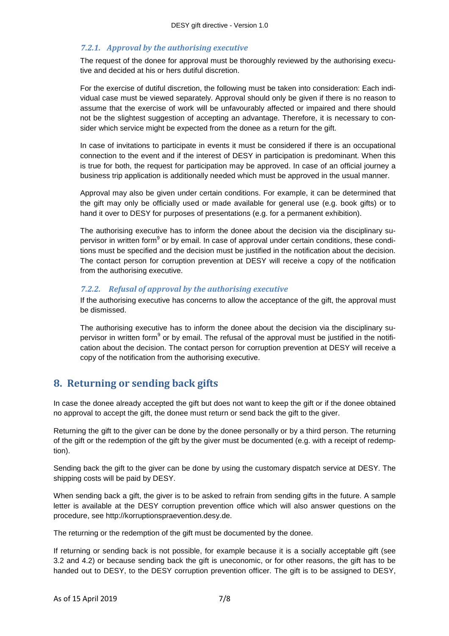#### *7.2.1. Approval by the authorising executive*

The request of the donee for approval must be thoroughly reviewed by the authorising executive and decided at his or hers dutiful discretion.

For the exercise of dutiful discretion, the following must be taken into consideration: Each individual case must be viewed separately. Approval should only be given if there is no reason to assume that the exercise of work will be unfavourably affected or impaired and there should not be the slightest suggestion of accepting an advantage. Therefore, it is necessary to consider which service might be expected from the donee as a return for the gift.

In case of invitations to participate in events it must be considered if there is an occupational connection to the event and if the interest of DESY in participation is predominant. When this is true for both, the request for participation may be approved. In case of an official journey a business trip application is additionally needed which must be approved in the usual manner.

Approval may also be given under certain conditions. For example, it can be determined that the gift may only be officially used or made available for general use (e.g. book gifts) or to hand it over to DESY for purposes of presentations (e.g. for a permanent exhibition).

The authorising executive has to inform the donee about the decision via the disciplinary supervisor in written form<sup>9</sup> or by email. In case of approval under certain conditions, these conditions must be specified and the decision must be justified in the notification about the decision. The contact person for corruption prevention at DESY will receive a copy of the notification from the authorising executive.

#### *7.2.2. Refusal of approval by the authorising executive*

If the authorising executive has concerns to allow the acceptance of the gift, the approval must be dismissed.

The authorising executive has to inform the donee about the decision via the disciplinary supervisor in written form<sup>9</sup> or by email. The refusal of the approval must be justified in the notification about the decision. The contact person for corruption prevention at DESY will receive a copy of the notification from the authorising executive.

# **8. Returning or sending back gifts**

In case the donee already accepted the gift but does not want to keep the gift or if the donee obtained no approval to accept the gift, the donee must return or send back the gift to the giver.

Returning the gift to the giver can be done by the donee personally or by a third person. The returning of the gift or the redemption of the gift by the giver must be documented (e.g. with a receipt of redemption).

Sending back the gift to the giver can be done by using the customary dispatch service at DESY. The shipping costs will be paid by DESY.

When sending back a gift, the giver is to be asked to refrain from sending gifts in the future. A sample letter is available at the DESY corruption prevention office which will also answer questions on the procedure, see http://korruptionspraevention.desy.de.

The returning or the redemption of the gift must be documented by the donee.

If returning or sending back is not possible, for example because it is a socially acceptable gift (see 3.2 and 4.2) or because sending back the gift is uneconomic, or for other reasons, the gift has to be handed out to DESY, to the DESY corruption prevention officer. The gift is to be assigned to DESY,